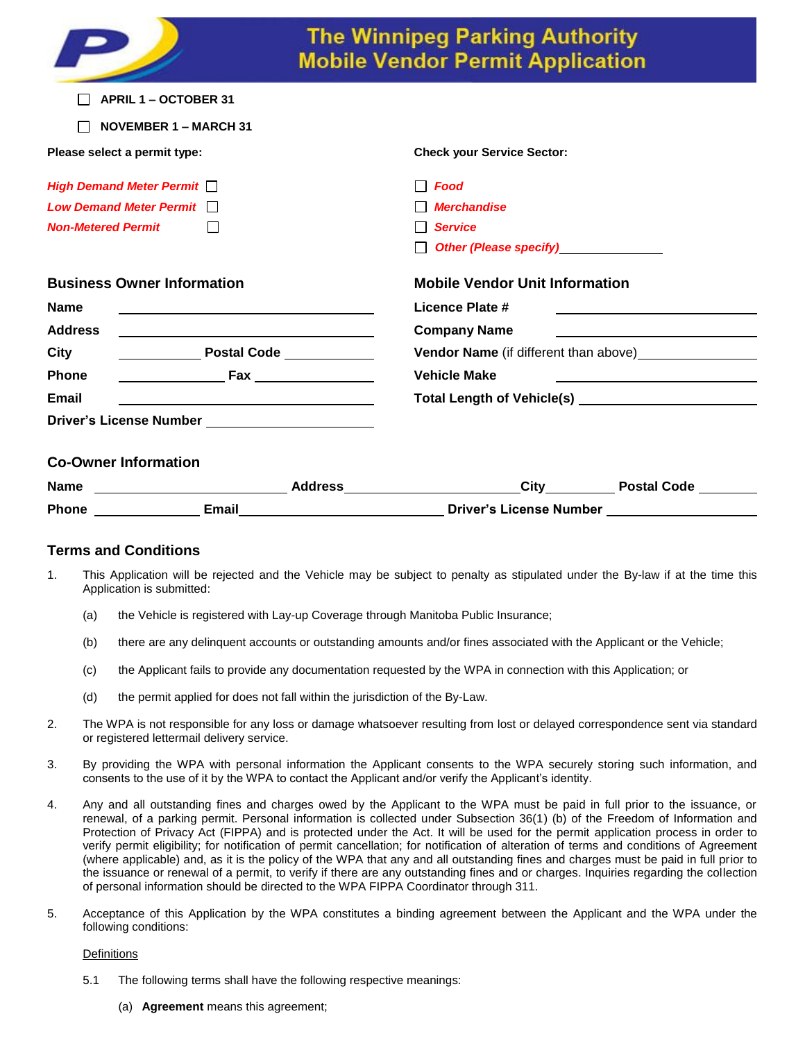|                                                   |  | <b>The Winnipeg Parking Authority</b><br><b>Mobile Vendor Permit Application</b>        |                    |
|---------------------------------------------------|--|-----------------------------------------------------------------------------------------|--------------------|
| <b>APRIL 1 - OCTOBER 31</b>                       |  |                                                                                         |                    |
| <b>NOVEMBER 1 - MARCH 31</b>                      |  |                                                                                         |                    |
| Please select a permit type:                      |  | <b>Check your Service Sector:</b>                                                       |                    |
| <b>High Demand Meter Permit</b>                   |  | <b>Food</b>                                                                             |                    |
| Low Demand Meter Permit $\Box$                    |  | <b>Merchandise</b>                                                                      |                    |
| <b>Non-Metered Permit</b><br>$\Box$               |  | <b>Service</b>                                                                          |                    |
|                                                   |  | Other (Please specify)<br><u>Denote</u>                                                 |                    |
| <b>Business Owner Information</b>                 |  | <b>Mobile Vendor Unit Information</b>                                                   |                    |
| <b>Name</b>                                       |  | Licence Plate #                                                                         |                    |
| <b>Address</b>                                    |  | <b>Company Name</b>                                                                     |                    |
| <b>City</b>                                       |  | <b>Vendor Name</b> (if different than above) <b>Name is a strong of the Vendor Name</b> |                    |
| <b>Phone</b>                                      |  | <b>Vehicle Make</b>                                                                     |                    |
| Email                                             |  |                                                                                         |                    |
| Driver's License Number _________________________ |  |                                                                                         |                    |
| <b>Co-Owner Information</b>                       |  |                                                                                         |                    |
| <b>Name</b>                                       |  | <b>City</b>                                                                             | <b>Postal Code</b> |
| <b>Email</b><br>Phone                             |  | <b>Driver's License Number</b>                                                          |                    |

# **Terms and Conditions**

- 1. This Application will be rejected and the Vehicle may be subject to penalty as stipulated under the By-law if at the time this Application is submitted:
	- (a) the Vehicle is registered with Lay-up Coverage through Manitoba Public Insurance;
	- (b) there are any delinquent accounts or outstanding amounts and/or fines associated with the Applicant or the Vehicle;
	- (c) the Applicant fails to provide any documentation requested by the WPA in connection with this Application; or
	- (d) the permit applied for does not fall within the jurisdiction of the By-Law.
- 2. The WPA is not responsible for any loss or damage whatsoever resulting from lost or delayed correspondence sent via standard or registered lettermail delivery service.
- 3. By providing the WPA with personal information the Applicant consents to the WPA securely storing such information, and consents to the use of it by the WPA to contact the Applicant and/or verify the Applicant's identity.
- 4. Any and all outstanding fines and charges owed by the Applicant to the WPA must be paid in full prior to the issuance, or renewal, of a parking permit. Personal information is collected under Subsection 36(1) (b) of the Freedom of Information and Protection of Privacy Act (FIPPA) and is protected under the Act. It will be used for the permit application process in order to verify permit eligibility; for notification of permit cancellation; for notification of alteration of terms and conditions of Agreement (where applicable) and, as it is the policy of the WPA that any and all outstanding fines and charges must be paid in full prior to the issuance or renewal of a permit, to verify if there are any outstanding fines and or charges. Inquiries regarding the collection of personal information should be directed to the WPA FIPPA Coordinator through 311.
- 5. Acceptance of this Application by the WPA constitutes a binding agreement between the Applicant and the WPA under the following conditions:

## **Definitions**

- 5.1 The following terms shall have the following respective meanings:
	- (a) **Agreement** means this agreement;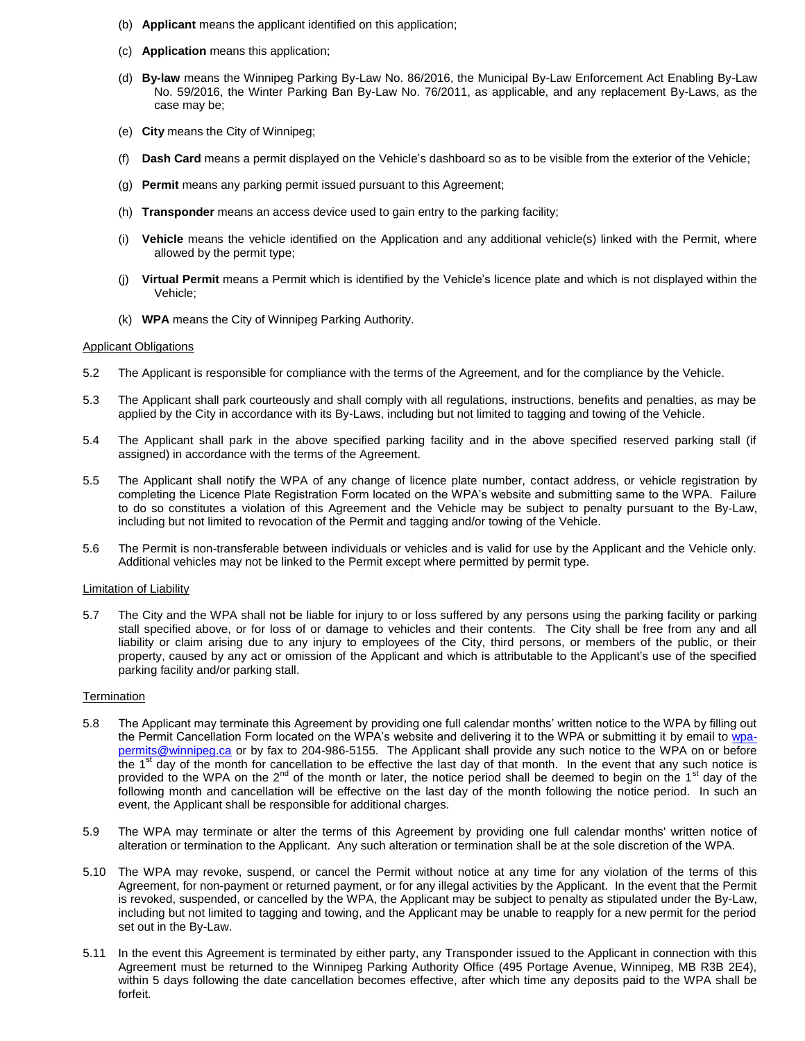- (b) **Applicant** means the applicant identified on this application;
- (c) **Application** means this application;
- (d) **By-law** means the Winnipeg Parking By-Law No. 86/2016, the Municipal By-Law Enforcement Act Enabling By-Law No. 59/2016, the Winter Parking Ban By-Law No. 76/2011, as applicable, and any replacement By-Laws, as the case may be;
- (e) **City** means the City of Winnipeg;
- (f) **Dash Card** means a permit displayed on the Vehicle's dashboard so as to be visible from the exterior of the Vehicle;
- (g) **Permit** means any parking permit issued pursuant to this Agreement;
- (h) **Transponder** means an access device used to gain entry to the parking facility;
- (i) **Vehicle** means the vehicle identified on the Application and any additional vehicle(s) linked with the Permit, where allowed by the permit type;
- (j) **Virtual Permit** means a Permit which is identified by the Vehicle's licence plate and which is not displayed within the Vehicle;
- (k) **WPA** means the City of Winnipeg Parking Authority.

### Applicant Obligations

- 5.2 The Applicant is responsible for compliance with the terms of the Agreement, and for the compliance by the Vehicle.
- 5.3 The Applicant shall park courteously and shall comply with all regulations, instructions, benefits and penalties, as may be applied by the City in accordance with its By-Laws, including but not limited to tagging and towing of the Vehicle.
- 5.4 The Applicant shall park in the above specified parking facility and in the above specified reserved parking stall (if assigned) in accordance with the terms of the Agreement.
- 5.5 The Applicant shall notify the WPA of any change of licence plate number, contact address, or vehicle registration by completing the Licence Plate Registration Form located on the WPA's website and submitting same to the WPA. Failure to do so constitutes a violation of this Agreement and the Vehicle may be subject to penalty pursuant to the By-Law, including but not limited to revocation of the Permit and tagging and/or towing of the Vehicle.
- 5.6 The Permit is non-transferable between individuals or vehicles and is valid for use by the Applicant and the Vehicle only. Additional vehicles may not be linked to the Permit except where permitted by permit type.

#### Limitation of Liability

5.7 The City and the WPA shall not be liable for injury to or loss suffered by any persons using the parking facility or parking stall specified above, or for loss of or damage to vehicles and their contents. The City shall be free from any and all liability or claim arising due to any injury to employees of the City, third persons, or members of the public, or their property, caused by any act or omission of the Applicant and which is attributable to the Applicant's use of the specified parking facility and/or parking stall.

#### **Termination**

- 5.8 The Applicant may terminate this Agreement by providing one full calendar months' written notice to the WPA by filling out the Permit Cancellation Form located on the WPA's website and delivering it to the WPA or submitting it by email to [wpa](mailto:wpa-permits@winnipeg.ca)[permits@winnipeg.ca](mailto:wpa-permits@winnipeg.ca) or by fax to 204-986-5155. The Applicant shall provide any such notice to the WPA on or before the  $1<sup>st</sup>$  day of the month for cancellation to be effective the last day of that month. In the event that any such notice is provided to the WPA on the  $2^{nd}$  of the month or later, the notice period shall be deemed to begin on the 1<sup>st</sup> day of the following month and cancellation will be effective on the last day of the month following the notice period. In such an event, the Applicant shall be responsible for additional charges.
- 5.9 The WPA may terminate or alter the terms of this Agreement by providing one full calendar months' written notice of alteration or termination to the Applicant. Any such alteration or termination shall be at the sole discretion of the WPA.
- 5.10 The WPA may revoke, suspend, or cancel the Permit without notice at any time for any violation of the terms of this Agreement, for non-payment or returned payment, or for any illegal activities by the Applicant. In the event that the Permit is revoked, suspended, or cancelled by the WPA, the Applicant may be subject to penalty as stipulated under the By-Law, including but not limited to tagging and towing, and the Applicant may be unable to reapply for a new permit for the period set out in the By-Law.
- 5.11 In the event this Agreement is terminated by either party, any Transponder issued to the Applicant in connection with this Agreement must be returned to the Winnipeg Parking Authority Office (495 Portage Avenue, Winnipeg, MB R3B 2E4), within 5 days following the date cancellation becomes effective, after which time any deposits paid to the WPA shall be forfeit.